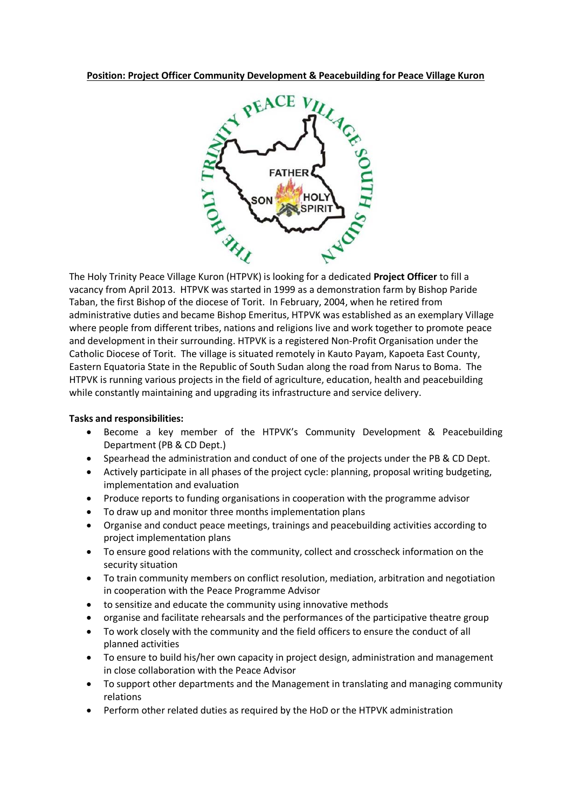

The Holy Trinity Peace Village Kuron (HTPVK) is looking for a dedicated **Project Officer** to fill a vacancy from April 2013. HTPVK was started in 1999 as a demonstration farm by Bishop Paride Taban, the first Bishop of the diocese of Torit. In February, 2004, when he retired from administrative duties and became Bishop Emeritus, HTPVK was established as an exemplary Village where people from different tribes, nations and religions live and work together to promote peace and development in their surrounding. HTPVK is a registered Non‐Profit Organisation under the Catholic Diocese of Torit. The village is situated remotely in Kauto Payam, Kapoeta East County, Eastern Equatoria State in the Republic of South Sudan along the road from Narus to Boma. The HTPVK is running various projects in the field of agriculture, education, health and peacebuilding while constantly maintaining and upgrading its infrastructure and service delivery.

## **Tasks and responsibilities:**

- Become a key member of the HTPVK's Community Development & Peacebuilding Department (PB & CD Dept.)
- Spearhead the administration and conduct of one of the projects under the PB & CD Dept.
- Actively participate in all phases of the project cycle: planning, proposal writing budgeting, implementation and evaluation
- Produce reports to funding organisations in cooperation with the programme advisor
- To draw up and monitor three months implementation plans
- Organise and conduct peace meetings, trainings and peacebuilding activities according to project implementation plans
- To ensure good relations with the community, collect and crosscheck information on the security situation
- To train community members on conflict resolution, mediation, arbitration and negotiation in cooperation with the Peace Programme Advisor
- to sensitize and educate the community using innovative methods
- organise and facilitate rehearsals and the performances of the participative theatre group
- To work closely with the community and the field officers to ensure the conduct of all planned activities
- To ensure to build his/her own capacity in project design, administration and management in close collaboration with the Peace Advisor
- To support other departments and the Management in translating and managing community relations
- Perform other related duties as required by the HoD or the HTPVK administration